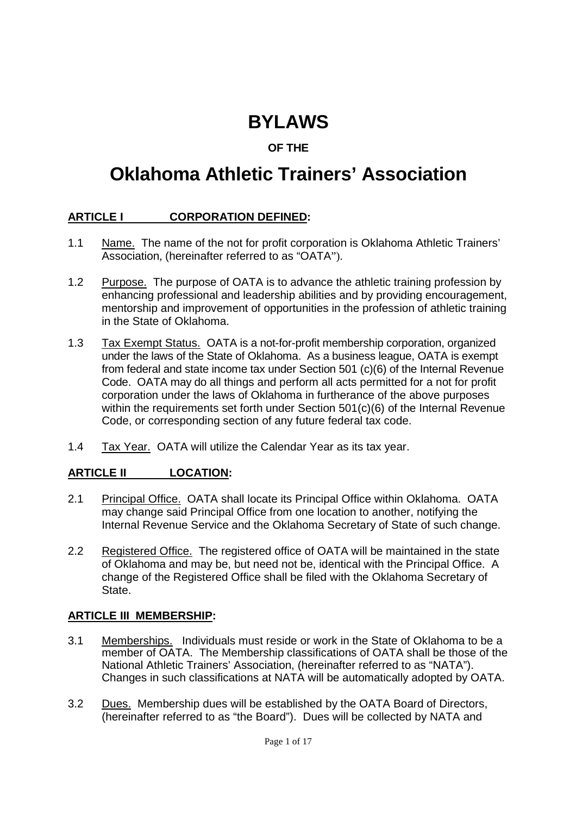# **BYLAWS**

# **OF THE**

# **Oklahoma Athletic Trainers' Association**

### **ARTICLE I CORPORATION DEFINED:**

- 1.1 Name. The name of the not for profit corporation is Oklahoma Athletic Trainers' Association, (hereinafter referred to as "OATA").
- 1.2 Purpose. The purpose of OATA is to advance the athletic training profession by enhancing professional and leadership abilities and by providing encouragement, mentorship and improvement of opportunities in the profession of athletic training in the State of Oklahoma.
- 1.3 Tax Exempt Status. OATA is a not-for-profit membership corporation, organized under the laws of the State of Oklahoma. As a business league, OATA is exempt from federal and state income tax under Section 501 (c)(6) of the Internal Revenue Code. OATA may do all things and perform all acts permitted for a not for profit corporation under the laws of Oklahoma in furtherance of the above purposes within the requirements set forth under Section 501(c)(6) of the Internal Revenue Code, or corresponding section of any future federal tax code.
- 1.4 Tax Year. OATA will utilize the Calendar Year as its tax year.

#### **ARTICLE II LOCATION:**

- 2.1 Principal Office. OATA shall locate its Principal Office within Oklahoma. OATA may change said Principal Office from one location to another, notifying the Internal Revenue Service and the Oklahoma Secretary of State of such change.
- 2.2 Registered Office. The registered office of OATA will be maintained in the state of Oklahoma and may be, but need not be, identical with the Principal Office. A change of the Registered Office shall be filed with the Oklahoma Secretary of State<sub>.</sub>

#### **ARTICLE III MEMBERSHIP:**

- 3.1 Memberships. Individuals must reside or work in the State of Oklahoma to be a member of OATA. The Membership classifications of OATA shall be those of the National Athletic Trainers' Association, (hereinafter referred to as "NATA"). Changes in such classifications at NATA will be automatically adopted by OATA.
- 3.2 Dues. Membership dues will be established by the OATA Board of Directors, (hereinafter referred to as "the Board"). Dues will be collected by NATA and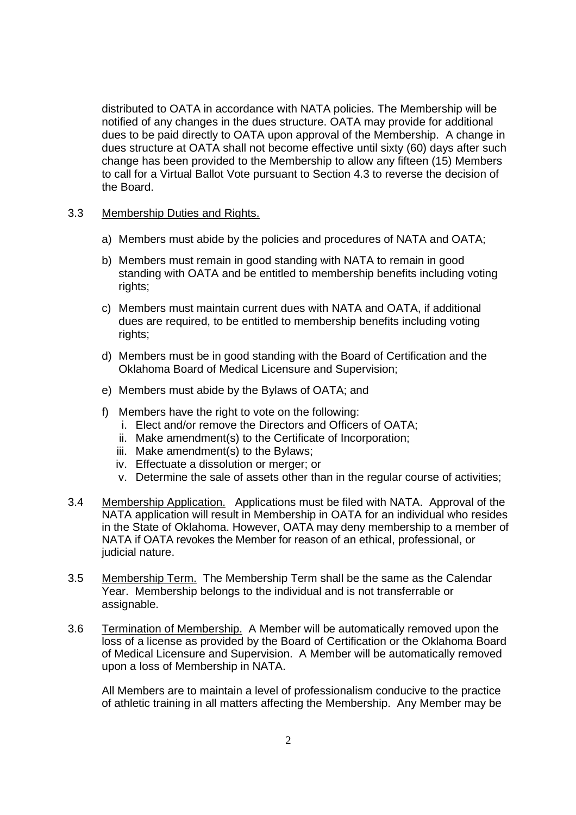distributed to OATA in accordance with NATA policies. The Membership will be notified of any changes in the dues structure. OATA may provide for additional dues to be paid directly to OATA upon approval of the Membership. A change in dues structure at OATA shall not become effective until sixty (60) days after such change has been provided to the Membership to allow any fifteen (15) Members to call for a Virtual Ballot Vote pursuant to Section 4.3 to reverse the decision of the Board.

#### 3.3 Membership Duties and Rights.

- a) Members must abide by the policies and procedures of NATA and OATA;
- b) Members must remain in good standing with NATA to remain in good standing with OATA and be entitled to membership benefits including voting rights;
- c) Members must maintain current dues with NATA and OATA, if additional dues are required, to be entitled to membership benefits including voting rights;
- d) Members must be in good standing with the Board of Certification and the Oklahoma Board of Medical Licensure and Supervision;
- e) Members must abide by the Bylaws of OATA; and
- f) Members have the right to vote on the following:
	- i. Elect and/or remove the Directors and Officers of OATA;
	- ii. Make amendment(s) to the Certificate of Incorporation;
	- iii. Make amendment(s) to the Bylaws;
	- iv. Effectuate a dissolution or merger; or
	- v. Determine the sale of assets other than in the regular course of activities;
- 3.4 Membership Application. Applications must be filed with NATA. Approval of the NATA application will result in Membership in OATA for an individual who resides in the State of Oklahoma. However, OATA may deny membership to a member of NATA if OATA revokes the Member for reason of an ethical, professional, or judicial nature.
- 3.5 Membership Term. The Membership Term shall be the same as the Calendar Year. Membership belongs to the individual and is not transferrable or assignable.
- 3.6 Termination of Membership. A Member will be automatically removed upon the loss of a license as provided by the Board of Certification or the Oklahoma Board of Medical Licensure and Supervision. A Member will be automatically removed upon a loss of Membership in NATA.

All Members are to maintain a level of professionalism conducive to the practice of athletic training in all matters affecting the Membership. Any Member may be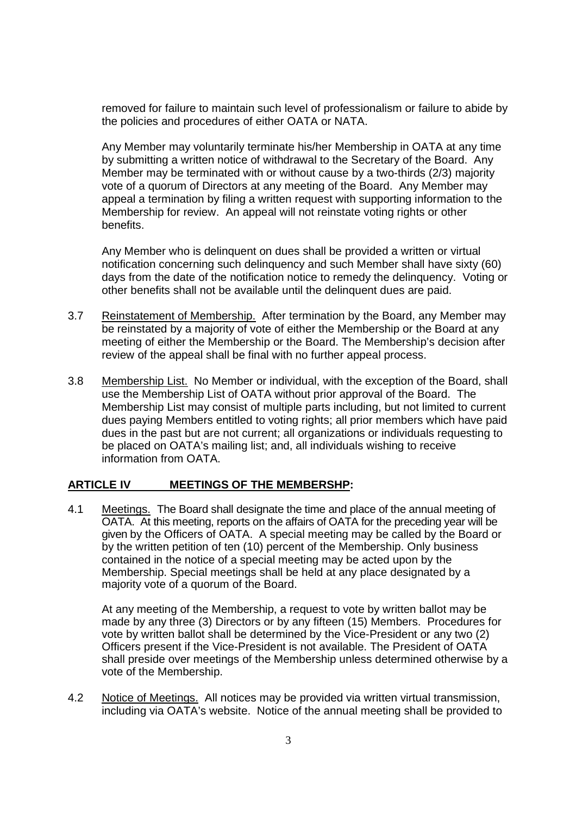removed for failure to maintain such level of professionalism or failure to abide by the policies and procedures of either OATA or NATA.

Any Member may voluntarily terminate his/her Membership in OATA at any time by submitting a written notice of withdrawal to the Secretary of the Board. Any Member may be terminated with or without cause by a two-thirds (2/3) majority vote of a quorum of Directors at any meeting of the Board. Any Member may appeal a termination by filing a written request with supporting information to the Membership for review. An appeal will not reinstate voting rights or other benefits.

Any Member who is delinquent on dues shall be provided a written or virtual notification concerning such delinquency and such Member shall have sixty (60) days from the date of the notification notice to remedy the delinquency. Voting or other benefits shall not be available until the delinquent dues are paid.

- 3.7 Reinstatement of Membership. After termination by the Board, any Member may be reinstated by a majority of vote of either the Membership or the Board at any meeting of either the Membership or the Board. The Membership's decision after review of the appeal shall be final with no further appeal process.
- 3.8 Membership List. No Member or individual, with the exception of the Board, shall use the Membership List of OATA without prior approval of the Board. The Membership List may consist of multiple parts including, but not limited to current dues paying Members entitled to voting rights; all prior members which have paid dues in the past but are not current; all organizations or individuals requesting to be placed on OATA's mailing list; and, all individuals wishing to receive information from OATA.

#### **ARTICLE IV MEETINGS OF THE MEMBERSHP:**

4.1 Meetings. The Board shall designate the time and place of the annual meeting of OATA. At this meeting, reports on the affairs of OATA for the preceding year will be given by the Officers of OATA. A special meeting may be called by the Board or by the written petition of ten (10) percent of the Membership. Only business contained in the notice of a special meeting may be acted upon by the Membership. Special meetings shall be held at any place designated by a majority vote of a quorum of the Board.

At any meeting of the Membership, a request to vote by written ballot may be made by any three (3) Directors or by any fifteen (15) Members. Procedures for vote by written ballot shall be determined by the Vice-President or any two (2) Officers present if the Vice-President is not available. The President of OATA shall preside over meetings of the Membership unless determined otherwise by a vote of the Membership.

4.2 Notice of Meetings. All notices may be provided via written virtual transmission, including via OATA's website. Notice of the annual meeting shall be provided to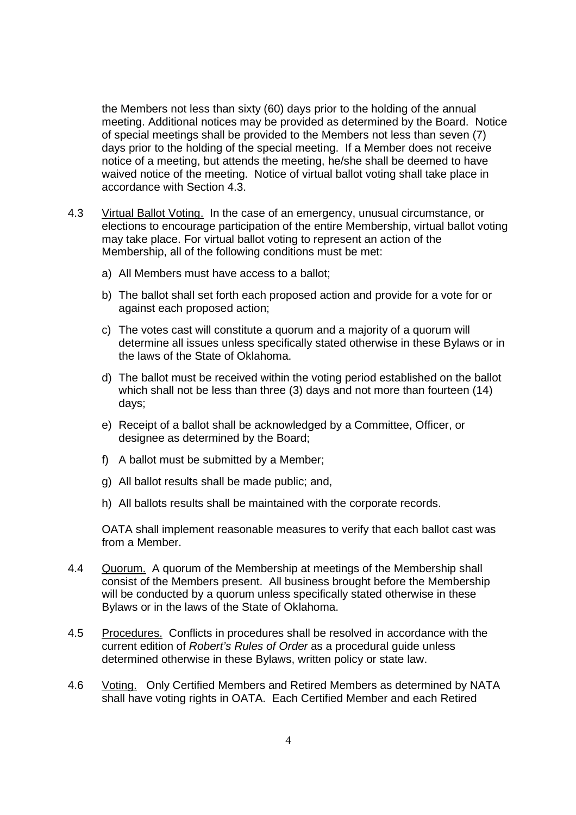the Members not less than sixty (60) days prior to the holding of the annual meeting. Additional notices may be provided as determined by the Board. Notice of special meetings shall be provided to the Members not less than seven (7) days prior to the holding of the special meeting. If a Member does not receive notice of a meeting, but attends the meeting, he/she shall be deemed to have waived notice of the meeting. Notice of virtual ballot voting shall take place in accordance with Section 4.3.

- 4.3 Virtual Ballot Voting. In the case of an emergency, unusual circumstance, or elections to encourage participation of the entire Membership, virtual ballot voting may take place. For virtual ballot voting to represent an action of the Membership, all of the following conditions must be met:
	- a) All Members must have access to a ballot;
	- b) The ballot shall set forth each proposed action and provide for a vote for or against each proposed action;
	- c) The votes cast will constitute a quorum and a majority of a quorum will determine all issues unless specifically stated otherwise in these Bylaws or in the laws of the State of Oklahoma.
	- d) The ballot must be received within the voting period established on the ballot which shall not be less than three (3) days and not more than fourteen (14) days;
	- e) Receipt of a ballot shall be acknowledged by a Committee, Officer, or designee as determined by the Board;
	- f) A ballot must be submitted by a Member;
	- g) All ballot results shall be made public; and,
	- h) All ballots results shall be maintained with the corporate records.

OATA shall implement reasonable measures to verify that each ballot cast was from a Member.

- 4.4 Quorum. A quorum of the Membership at meetings of the Membership shall consist of the Members present. All business brought before the Membership will be conducted by a quorum unless specifically stated otherwise in these Bylaws or in the laws of the State of Oklahoma.
- 4.5 Procedures. Conflicts in procedures shall be resolved in accordance with the current edition of Robert's Rules of Order as a procedural guide unless determined otherwise in these Bylaws, written policy or state law.
- 4.6 Voting. Only Certified Members and Retired Members as determined by NATA shall have voting rights in OATA. Each Certified Member and each Retired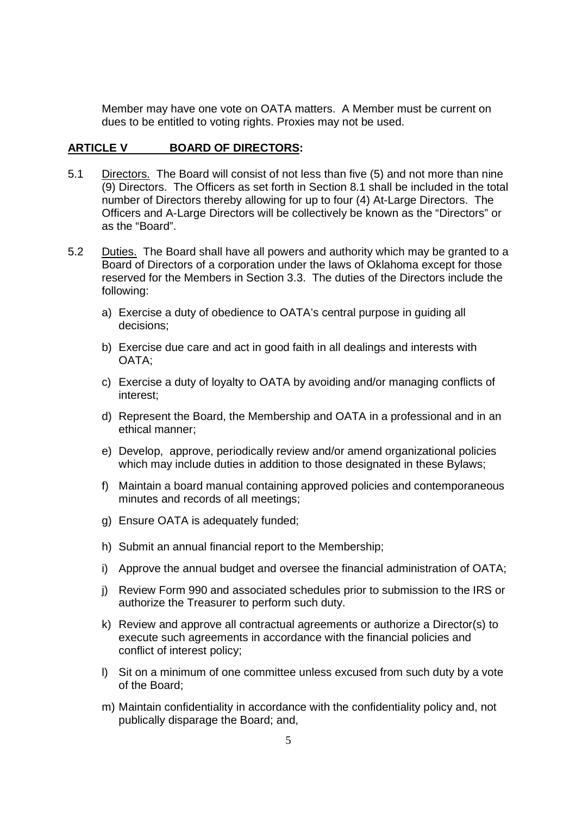Member may have one vote on OATA matters. A Member must be current on dues to be entitled to voting rights. Proxies may not be used.

#### **ARTICLE V BOARD OF DIRECTORS:**

- 5.1 Directors. The Board will consist of not less than five (5) and not more than nine (9) Directors. The Officers as set forth in Section 8.1 shall be included in the total number of Directors thereby allowing for up to four (4) At-Large Directors. The Officers and A-Large Directors will be collectively be known as the "Directors" or as the "Board".
- 5.2 Duties. The Board shall have all powers and authority which may be granted to a Board of Directors of a corporation under the laws of Oklahoma except for those reserved for the Members in Section 3.3. The duties of the Directors include the following:
	- a) Exercise a duty of obedience to OATA's central purpose in guiding all decisions;
	- b) Exercise due care and act in good faith in all dealings and interests with OATA;
	- c) Exercise a duty of loyalty to OATA by avoiding and/or managing conflicts of interest;
	- d) Represent the Board, the Membership and OATA in a professional and in an ethical manner;
	- e) Develop, approve, periodically review and/or amend organizational policies which may include duties in addition to those designated in these Bylaws;
	- f) Maintain a board manual containing approved policies and contemporaneous minutes and records of all meetings;
	- g) Ensure OATA is adequately funded;
	- h) Submit an annual financial report to the Membership;
	- i) Approve the annual budget and oversee the financial administration of OATA;
	- j) Review Form 990 and associated schedules prior to submission to the IRS or authorize the Treasurer to perform such duty.
	- k) Review and approve all contractual agreements or authorize a Director(s) to execute such agreements in accordance with the financial policies and conflict of interest policy;
	- l) Sit on a minimum of one committee unless excused from such duty by a vote of the Board;
	- m) Maintain confidentiality in accordance with the confidentiality policy and, not publically disparage the Board; and,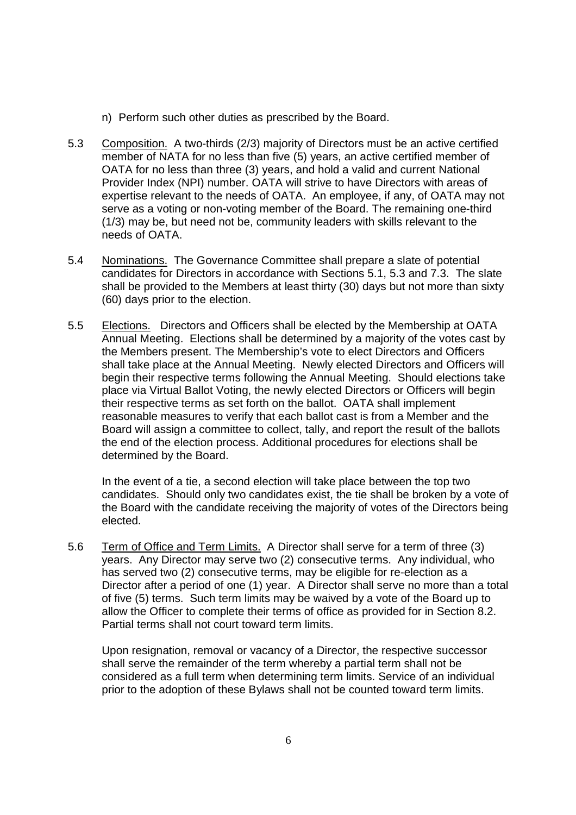- n) Perform such other duties as prescribed by the Board.
- 5.3 Composition. A two-thirds (2/3) majority of Directors must be an active certified member of NATA for no less than five (5) years, an active certified member of OATA for no less than three (3) years, and hold a valid and current National Provider Index (NPI) number. OATA will strive to have Directors with areas of expertise relevant to the needs of OATA. An employee, if any, of OATA may not serve as a voting or non-voting member of the Board. The remaining one-third (1/3) may be, but need not be, community leaders with skills relevant to the needs of OATA.
- 5.4 Nominations. The Governance Committee shall prepare a slate of potential candidates for Directors in accordance with Sections 5.1, 5.3 and 7.3. The slate shall be provided to the Members at least thirty (30) days but not more than sixty (60) days prior to the election.
- 5.5 Elections. Directors and Officers shall be elected by the Membership at OATA Annual Meeting. Elections shall be determined by a majority of the votes cast by the Members present. The Membership's vote to elect Directors and Officers shall take place at the Annual Meeting. Newly elected Directors and Officers will begin their respective terms following the Annual Meeting. Should elections take place via Virtual Ballot Voting, the newly elected Directors or Officers will begin their respective terms as set forth on the ballot. OATA shall implement reasonable measures to verify that each ballot cast is from a Member and the Board will assign a committee to collect, tally, and report the result of the ballots the end of the election process. Additional procedures for elections shall be determined by the Board.

In the event of a tie, a second election will take place between the top two candidates. Should only two candidates exist, the tie shall be broken by a vote of the Board with the candidate receiving the majority of votes of the Directors being elected.

5.6 Term of Office and Term Limits. A Director shall serve for a term of three (3) years. Any Director may serve two (2) consecutive terms. Any individual, who has served two (2) consecutive terms, may be eligible for re-election as a Director after a period of one (1) year. A Director shall serve no more than a total of five (5) terms. Such term limits may be waived by a vote of the Board up to allow the Officer to complete their terms of office as provided for in Section 8.2. Partial terms shall not court toward term limits.

Upon resignation, removal or vacancy of a Director, the respective successor shall serve the remainder of the term whereby a partial term shall not be considered as a full term when determining term limits. Service of an individual prior to the adoption of these Bylaws shall not be counted toward term limits.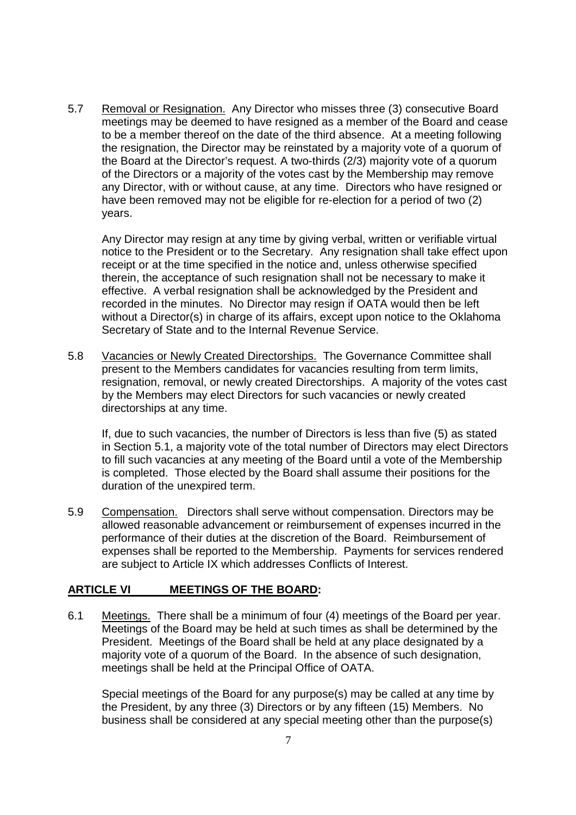5.7 Removal or Resignation. Any Director who misses three (3) consecutive Board meetings may be deemed to have resigned as a member of the Board and cease to be a member thereof on the date of the third absence. At a meeting following the resignation, the Director may be reinstated by a majority vote of a quorum of the Board at the Director's request. A two-thirds (2/3) majority vote of a quorum of the Directors or a majority of the votes cast by the Membership may remove any Director, with or without cause, at any time. Directors who have resigned or have been removed may not be eligible for re-election for a period of two (2) years.

Any Director may resign at any time by giving verbal, written or verifiable virtual notice to the President or to the Secretary. Any resignation shall take effect upon receipt or at the time specified in the notice and, unless otherwise specified therein, the acceptance of such resignation shall not be necessary to make it effective. A verbal resignation shall be acknowledged by the President and recorded in the minutes. No Director may resign if OATA would then be left without a Director(s) in charge of its affairs, except upon notice to the Oklahoma Secretary of State and to the Internal Revenue Service.

5.8 Vacancies or Newly Created Directorships. The Governance Committee shall present to the Members candidates for vacancies resulting from term limits, resignation, removal, or newly created Directorships. A majority of the votes cast by the Members may elect Directors for such vacancies or newly created directorships at any time.

If, due to such vacancies, the number of Directors is less than five (5) as stated in Section 5.1, a majority vote of the total number of Directors may elect Directors to fill such vacancies at any meeting of the Board until a vote of the Membership is completed. Those elected by the Board shall assume their positions for the duration of the unexpired term.

5.9 Compensation. Directors shall serve without compensation. Directors may be allowed reasonable advancement or reimbursement of expenses incurred in the performance of their duties at the discretion of the Board. Reimbursement of expenses shall be reported to the Membership. Payments for services rendered are subject to Article IX which addresses Conflicts of Interest.

#### **ARTICLE VI MEETINGS OF THE BOARD:**

6.1 Meetings. There shall be a minimum of four (4) meetings of the Board per year. Meetings of the Board may be held at such times as shall be determined by the President. Meetings of the Board shall be held at any place designated by a majority vote of a quorum of the Board. In the absence of such designation, meetings shall be held at the Principal Office of OATA.

Special meetings of the Board for any purpose(s) may be called at any time by the President, by any three (3) Directors or by any fifteen (15) Members. No business shall be considered at any special meeting other than the purpose(s)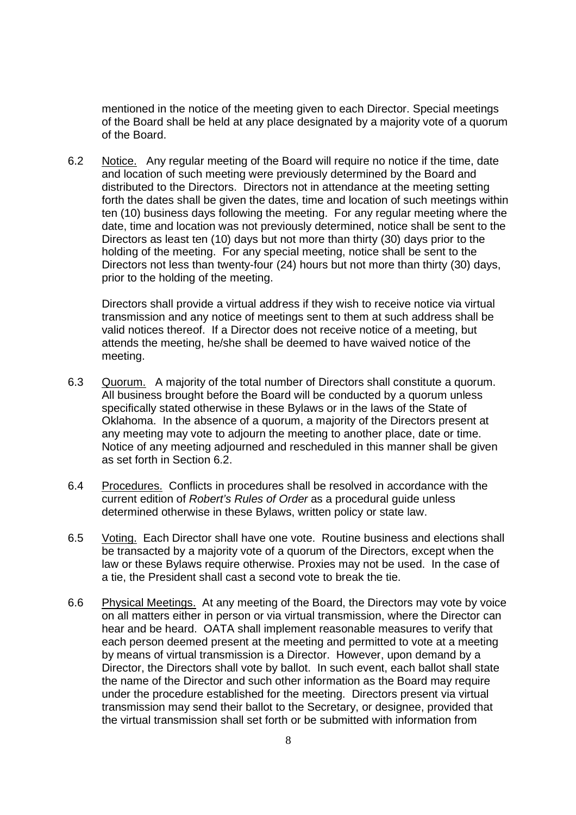mentioned in the notice of the meeting given to each Director. Special meetings of the Board shall be held at any place designated by a majority vote of a quorum of the Board.

6.2 Notice. Any regular meeting of the Board will require no notice if the time, date and location of such meeting were previously determined by the Board and distributed to the Directors. Directors not in attendance at the meeting setting forth the dates shall be given the dates, time and location of such meetings within ten (10) business days following the meeting. For any regular meeting where the date, time and location was not previously determined, notice shall be sent to the Directors as least ten (10) days but not more than thirty (30) days prior to the holding of the meeting. For any special meeting, notice shall be sent to the Directors not less than twenty-four (24) hours but not more than thirty (30) days, prior to the holding of the meeting.

Directors shall provide a virtual address if they wish to receive notice via virtual transmission and any notice of meetings sent to them at such address shall be valid notices thereof. If a Director does not receive notice of a meeting, but attends the meeting, he/she shall be deemed to have waived notice of the meeting.

- 6.3 Quorum. A majority of the total number of Directors shall constitute a quorum. All business brought before the Board will be conducted by a quorum unless specifically stated otherwise in these Bylaws or in the laws of the State of Oklahoma. In the absence of a quorum, a majority of the Directors present at any meeting may vote to adjourn the meeting to another place, date or time. Notice of any meeting adjourned and rescheduled in this manner shall be given as set forth in Section 6.2.
- 6.4 Procedures. Conflicts in procedures shall be resolved in accordance with the current edition of Robert's Rules of Order as a procedural guide unless determined otherwise in these Bylaws, written policy or state law.
- 6.5 Voting. Each Director shall have one vote. Routine business and elections shall be transacted by a majority vote of a quorum of the Directors, except when the law or these Bylaws require otherwise. Proxies may not be used. In the case of a tie, the President shall cast a second vote to break the tie.
- 6.6 Physical Meetings. At any meeting of the Board, the Directors may vote by voice on all matters either in person or via virtual transmission, where the Director can hear and be heard. OATA shall implement reasonable measures to verify that each person deemed present at the meeting and permitted to vote at a meeting by means of virtual transmission is a Director. However, upon demand by a Director, the Directors shall vote by ballot. In such event, each ballot shall state the name of the Director and such other information as the Board may require under the procedure established for the meeting. Directors present via virtual transmission may send their ballot to the Secretary, or designee, provided that the virtual transmission shall set forth or be submitted with information from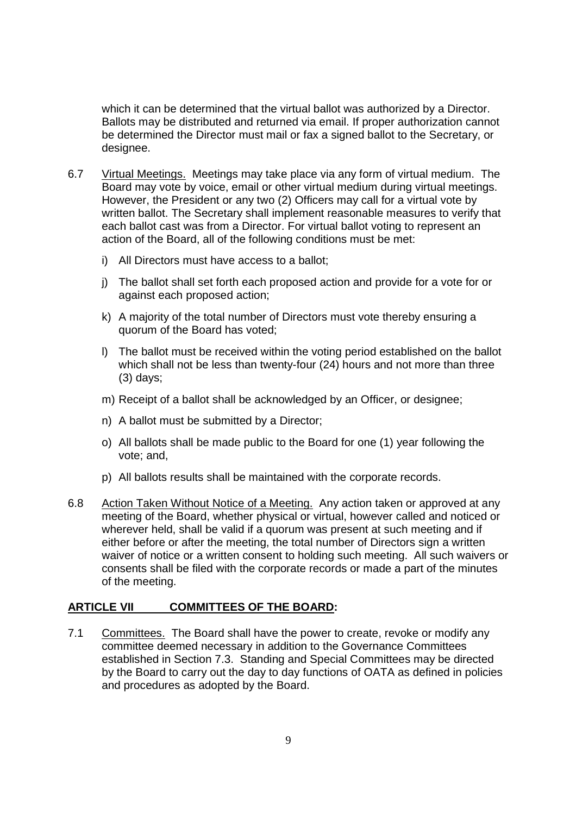which it can be determined that the virtual ballot was authorized by a Director. Ballots may be distributed and returned via email. If proper authorization cannot be determined the Director must mail or fax a signed ballot to the Secretary, or designee.

- 6.7 Virtual Meetings. Meetings may take place via any form of virtual medium. The Board may vote by voice, email or other virtual medium during virtual meetings. However, the President or any two (2) Officers may call for a virtual vote by written ballot. The Secretary shall implement reasonable measures to verify that each ballot cast was from a Director. For virtual ballot voting to represent an action of the Board, all of the following conditions must be met:
	- i) All Directors must have access to a ballot;
	- j) The ballot shall set forth each proposed action and provide for a vote for or against each proposed action;
	- k) A majority of the total number of Directors must vote thereby ensuring a quorum of the Board has voted;
	- l) The ballot must be received within the voting period established on the ballot which shall not be less than twenty-four (24) hours and not more than three (3) days;
	- m) Receipt of a ballot shall be acknowledged by an Officer, or designee;
	- n) A ballot must be submitted by a Director;
	- o) All ballots shall be made public to the Board for one (1) year following the vote; and,
	- p) All ballots results shall be maintained with the corporate records.
- 6.8 Action Taken Without Notice of a Meeting. Any action taken or approved at any meeting of the Board, whether physical or virtual, however called and noticed or wherever held, shall be valid if a quorum was present at such meeting and if either before or after the meeting, the total number of Directors sign a written waiver of notice or a written consent to holding such meeting. All such waivers or consents shall be filed with the corporate records or made a part of the minutes of the meeting.

#### **ARTICLE VII COMMITTEES OF THE BOARD:**

7.1 Committees. The Board shall have the power to create, revoke or modify any committee deemed necessary in addition to the Governance Committees established in Section 7.3. Standing and Special Committees may be directed by the Board to carry out the day to day functions of OATA as defined in policies and procedures as adopted by the Board.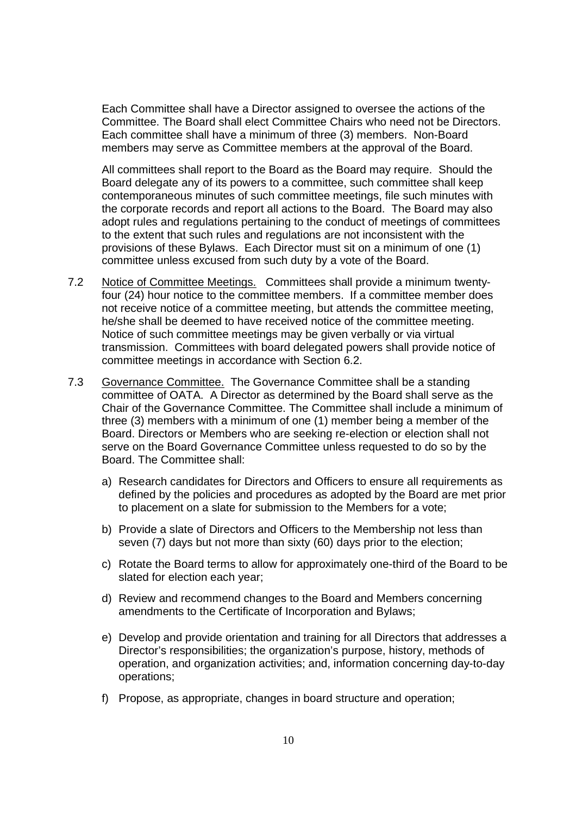Each Committee shall have a Director assigned to oversee the actions of the Committee. The Board shall elect Committee Chairs who need not be Directors. Each committee shall have a minimum of three (3) members. Non-Board members may serve as Committee members at the approval of the Board.

All committees shall report to the Board as the Board may require. Should the Board delegate any of its powers to a committee, such committee shall keep contemporaneous minutes of such committee meetings, file such minutes with the corporate records and report all actions to the Board. The Board may also adopt rules and regulations pertaining to the conduct of meetings of committees to the extent that such rules and regulations are not inconsistent with the provisions of these Bylaws. Each Director must sit on a minimum of one (1) committee unless excused from such duty by a vote of the Board.

- 7.2 Notice of Committee Meetings. Committees shall provide a minimum twentyfour (24) hour notice to the committee members. If a committee member does not receive notice of a committee meeting, but attends the committee meeting, he/she shall be deemed to have received notice of the committee meeting. Notice of such committee meetings may be given verbally or via virtual transmission. Committees with board delegated powers shall provide notice of committee meetings in accordance with Section 6.2.
- 7.3 Governance Committee. The Governance Committee shall be a standing committee of OATA. A Director as determined by the Board shall serve as the Chair of the Governance Committee. The Committee shall include a minimum of three (3) members with a minimum of one (1) member being a member of the Board. Directors or Members who are seeking re-election or election shall not serve on the Board Governance Committee unless requested to do so by the Board. The Committee shall:
	- a) Research candidates for Directors and Officers to ensure all requirements as defined by the policies and procedures as adopted by the Board are met prior to placement on a slate for submission to the Members for a vote;
	- b) Provide a slate of Directors and Officers to the Membership not less than seven (7) days but not more than sixty (60) days prior to the election;
	- c) Rotate the Board terms to allow for approximately one-third of the Board to be slated for election each year;
	- d) Review and recommend changes to the Board and Members concerning amendments to the Certificate of Incorporation and Bylaws;
	- e) Develop and provide orientation and training for all Directors that addresses a Director's responsibilities; the organization's purpose, history, methods of operation, and organization activities; and, information concerning day-to-day operations;
	- f) Propose, as appropriate, changes in board structure and operation;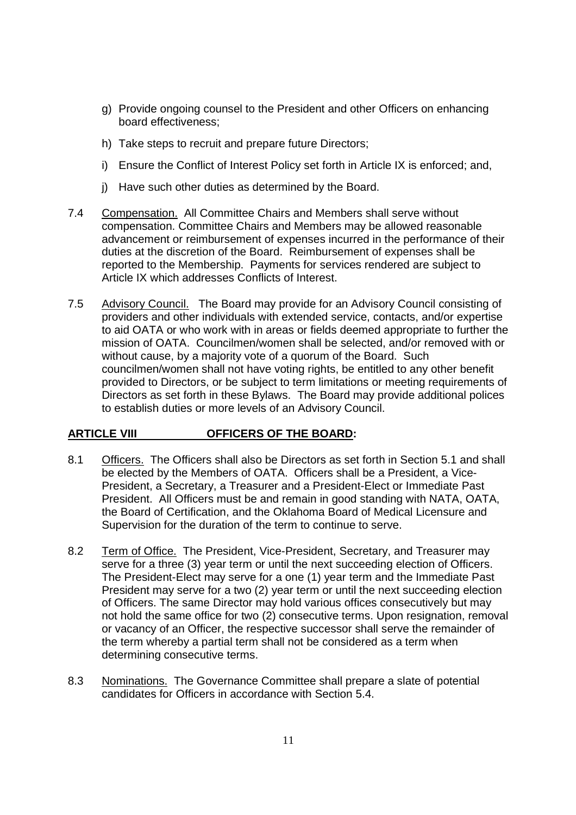- g) Provide ongoing counsel to the President and other Officers on enhancing board effectiveness;
- h) Take steps to recruit and prepare future Directors;
- i) Ensure the Conflict of Interest Policy set forth in Article IX is enforced; and,
- j) Have such other duties as determined by the Board.
- 7.4 Compensation. All Committee Chairs and Members shall serve without compensation. Committee Chairs and Members may be allowed reasonable advancement or reimbursement of expenses incurred in the performance of their duties at the discretion of the Board. Reimbursement of expenses shall be reported to the Membership. Payments for services rendered are subject to Article IX which addresses Conflicts of Interest.
- 7.5 Advisory Council. The Board may provide for an Advisory Council consisting of providers and other individuals with extended service, contacts, and/or expertise to aid OATA or who work with in areas or fields deemed appropriate to further the mission of OATA. Councilmen/women shall be selected, and/or removed with or without cause, by a majority vote of a quorum of the Board. Such councilmen/women shall not have voting rights, be entitled to any other benefit provided to Directors, or be subject to term limitations or meeting requirements of Directors as set forth in these Bylaws. The Board may provide additional polices to establish duties or more levels of an Advisory Council.

#### **ARTICLE VIII OFFICERS OF THE BOARD:**

- 8.1 Officers. The Officers shall also be Directors as set forth in Section 5.1 and shall be elected by the Members of OATA. Officers shall be a President, a Vice-President, a Secretary, a Treasurer and a President-Elect or Immediate Past President. All Officers must be and remain in good standing with NATA, OATA, the Board of Certification, and the Oklahoma Board of Medical Licensure and Supervision for the duration of the term to continue to serve.
- 8.2 Term of Office. The President, Vice-President, Secretary, and Treasurer may serve for a three (3) year term or until the next succeeding election of Officers. The President-Elect may serve for a one (1) year term and the Immediate Past President may serve for a two (2) year term or until the next succeeding election of Officers. The same Director may hold various offices consecutively but may not hold the same office for two (2) consecutive terms. Upon resignation, removal or vacancy of an Officer, the respective successor shall serve the remainder of the term whereby a partial term shall not be considered as a term when determining consecutive terms.
- 8.3 Nominations. The Governance Committee shall prepare a slate of potential candidates for Officers in accordance with Section 5.4.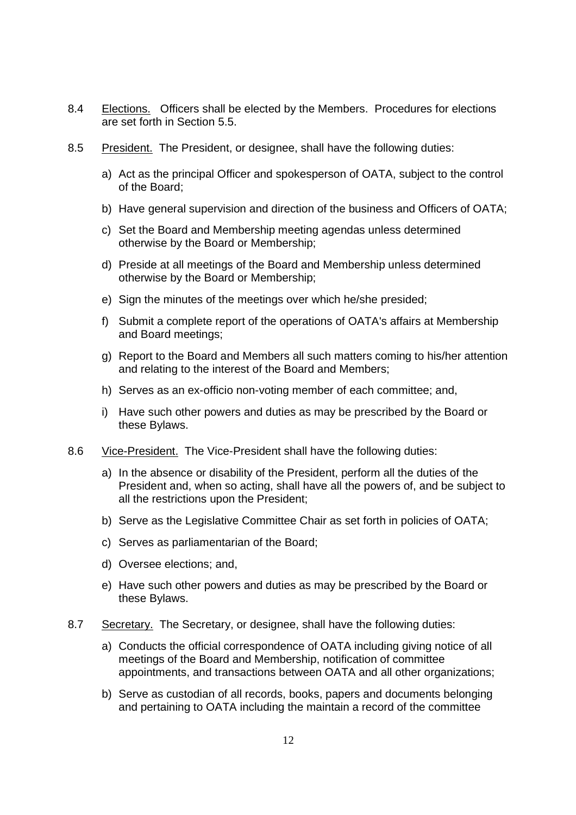- 8.4 Elections. Officers shall be elected by the Members. Procedures for elections are set forth in Section 5.5.
- 8.5 President. The President, or designee, shall have the following duties:
	- a) Act as the principal Officer and spokesperson of OATA, subject to the control of the Board;
	- b) Have general supervision and direction of the business and Officers of OATA;
	- c) Set the Board and Membership meeting agendas unless determined otherwise by the Board or Membership;
	- d) Preside at all meetings of the Board and Membership unless determined otherwise by the Board or Membership;
	- e) Sign the minutes of the meetings over which he/she presided;
	- f) Submit a complete report of the operations of OATA's affairs at Membership and Board meetings;
	- g) Report to the Board and Members all such matters coming to his/her attention and relating to the interest of the Board and Members;
	- h) Serves as an ex-officio non-voting member of each committee; and,
	- i) Have such other powers and duties as may be prescribed by the Board or these Bylaws.
- 8.6 Vice-President. The Vice-President shall have the following duties:
	- a) In the absence or disability of the President, perform all the duties of the President and, when so acting, shall have all the powers of, and be subject to all the restrictions upon the President;
	- b) Serve as the Legislative Committee Chair as set forth in policies of OATA;
	- c) Serves as parliamentarian of the Board;
	- d) Oversee elections; and,
	- e) Have such other powers and duties as may be prescribed by the Board or these Bylaws.
- 8.7 Secretary. The Secretary, or designee, shall have the following duties:
	- a) Conducts the official correspondence of OATA including giving notice of all meetings of the Board and Membership, notification of committee appointments, and transactions between OATA and all other organizations;
	- b) Serve as custodian of all records, books, papers and documents belonging and pertaining to OATA including the maintain a record of the committee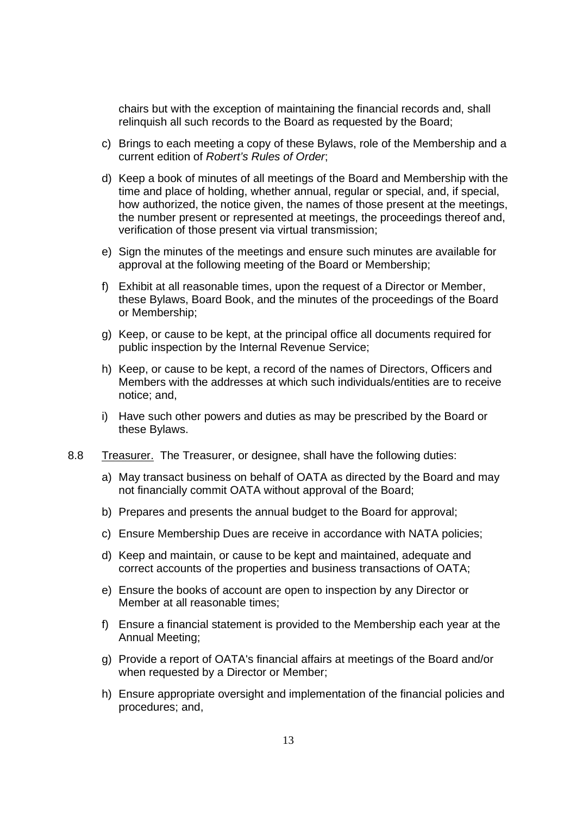chairs but with the exception of maintaining the financial records and, shall relinquish all such records to the Board as requested by the Board;

- c) Brings to each meeting a copy of these Bylaws, role of the Membership and a current edition of Robert's Rules of Order;
- d) Keep a book of minutes of all meetings of the Board and Membership with the time and place of holding, whether annual, regular or special, and, if special, how authorized, the notice given, the names of those present at the meetings, the number present or represented at meetings, the proceedings thereof and, verification of those present via virtual transmission;
- e) Sign the minutes of the meetings and ensure such minutes are available for approval at the following meeting of the Board or Membership;
- f) Exhibit at all reasonable times, upon the request of a Director or Member, these Bylaws, Board Book, and the minutes of the proceedings of the Board or Membership;
- g) Keep, or cause to be kept, at the principal office all documents required for public inspection by the Internal Revenue Service;
- h) Keep, or cause to be kept, a record of the names of Directors, Officers and Members with the addresses at which such individuals/entities are to receive notice; and,
- i) Have such other powers and duties as may be prescribed by the Board or these Bylaws.
- 8.8 Treasurer. The Treasurer, or designee, shall have the following duties:
	- a) May transact business on behalf of OATA as directed by the Board and may not financially commit OATA without approval of the Board;
	- b) Prepares and presents the annual budget to the Board for approval;
	- c) Ensure Membership Dues are receive in accordance with NATA policies;
	- d) Keep and maintain, or cause to be kept and maintained, adequate and correct accounts of the properties and business transactions of OATA;
	- e) Ensure the books of account are open to inspection by any Director or Member at all reasonable times;
	- f) Ensure a financial statement is provided to the Membership each year at the Annual Meeting;
	- g) Provide a report of OATA's financial affairs at meetings of the Board and/or when requested by a Director or Member;
	- h) Ensure appropriate oversight and implementation of the financial policies and procedures; and, i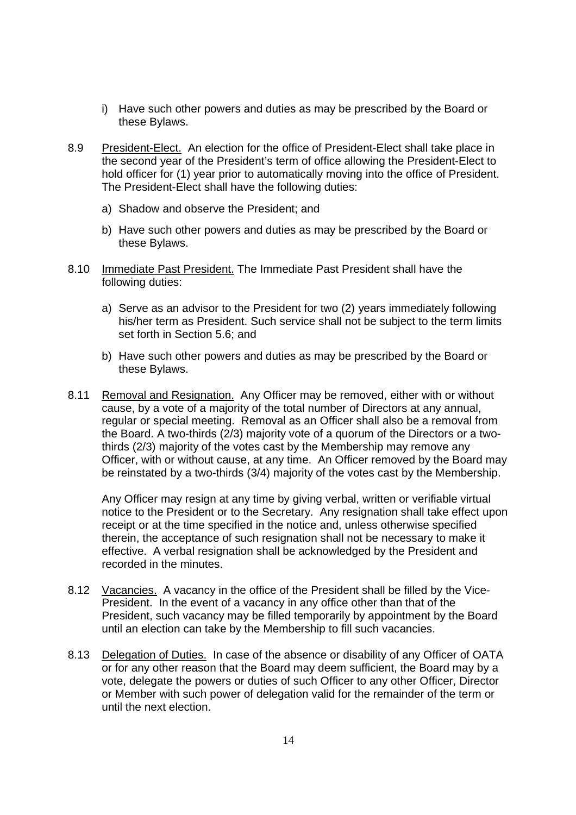- i) Have such other powers and duties as may be prescribed by the Board or these Bylaws.
- 8.9 President-Elect. An election for the office of President-Elect shall take place in the second year of the President's term of office allowing the President-Elect to hold officer for (1) year prior to automatically moving into the office of President. The President-Elect shall have the following duties:
	- a) Shadow and observe the President; and
	- b) Have such other powers and duties as may be prescribed by the Board or these Bylaws.
- 8.10 Immediate Past President. The Immediate Past President shall have the following duties:
	- a) Serve as an advisor to the President for two (2) years immediately following his/her term as President. Such service shall not be subject to the term limits set forth in Section 5.6; and
	- b) Have such other powers and duties as may be prescribed by the Board or these Bylaws.
- 8.11 Removal and Resignation. Any Officer may be removed, either with or without cause, by a vote of a majority of the total number of Directors at any annual, regular or special meeting. Removal as an Officer shall also be a removal from the Board. A two-thirds (2/3) majority vote of a quorum of the Directors or a twothirds (2/3) majority of the votes cast by the Membership may remove any Officer, with or without cause, at any time. An Officer removed by the Board may be reinstated by a two-thirds (3/4) majority of the votes cast by the Membership.

Any Officer may resign at any time by giving verbal, written or verifiable virtual notice to the President or to the Secretary. Any resignation shall take effect upon receipt or at the time specified in the notice and, unless otherwise specified therein, the acceptance of such resignation shall not be necessary to make it effective. A verbal resignation shall be acknowledged by the President and recorded in the minutes.

- 8.12 Vacancies. A vacancy in the office of the President shall be filled by the Vice-President. In the event of a vacancy in any office other than that of the President, such vacancy may be filled temporarily by appointment by the Board until an election can take by the Membership to fill such vacancies.
- 8.13 Delegation of Duties. In case of the absence or disability of any Officer of OATA or for any other reason that the Board may deem sufficient, the Board may by a vote, delegate the powers or duties of such Officer to any other Officer, Director or Member with such power of delegation valid for the remainder of the term or until the next election.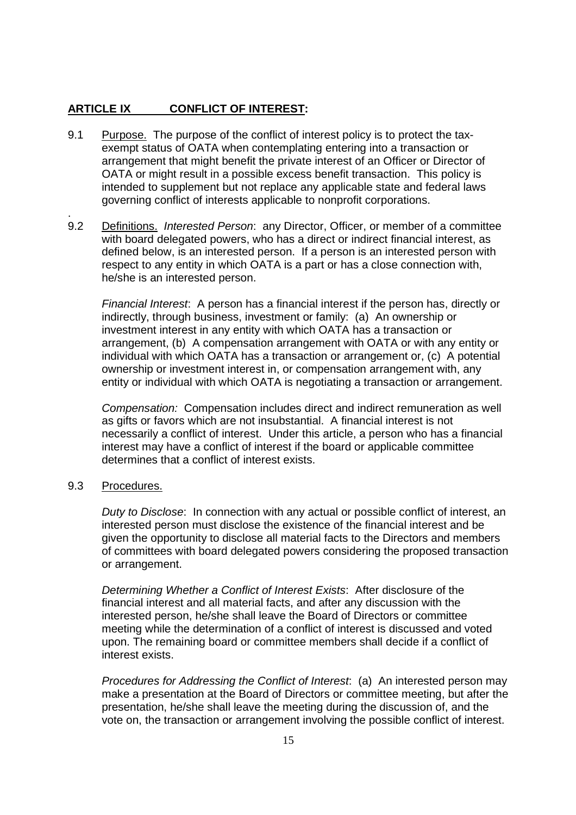## **ARTICLE IX CONFLICT OF INTEREST:**

- 9.1 Purpose. The purpose of the conflict of interest policy is to protect the taxexempt status of OATA when contemplating entering into a transaction or arrangement that might benefit the private interest of an Officer or Director of OATA or might result in a possible excess benefit transaction. This policy is intended to supplement but not replace any applicable state and federal laws governing conflict of interests applicable to nonprofit corporations.
- 9.2 Definitions. Interested Person: any Director, Officer, or member of a committee with board delegated powers, who has a direct or indirect financial interest, as defined below, is an interested person. If a person is an interested person with respect to any entity in which OATA is a part or has a close connection with, he/she is an interested person.

Financial Interest: A person has a financial interest if the person has, directly or indirectly, through business, investment or family: (a) An ownership or investment interest in any entity with which OATA has a transaction or arrangement, (b) A compensation arrangement with OATA or with any entity or individual with which OATA has a transaction or arrangement or, (c) A potential ownership or investment interest in, or compensation arrangement with, any entity or individual with which OATA is negotiating a transaction or arrangement.

Compensation: Compensation includes direct and indirect remuneration as well as gifts or favors which are not insubstantial. A financial interest is not necessarily a conflict of interest. Under this article, a person who has a financial interest may have a conflict of interest if the board or applicable committee determines that a conflict of interest exists.

#### 9.3 Procedures.

.

Duty to Disclose: In connection with any actual or possible conflict of interest, an interested person must disclose the existence of the financial interest and be given the opportunity to disclose all material facts to the Directors and members of committees with board delegated powers considering the proposed transaction or arrangement.

Determining Whether a Conflict of Interest Exists: After disclosure of the financial interest and all material facts, and after any discussion with the interested person, he/she shall leave the Board of Directors or committee meeting while the determination of a conflict of interest is discussed and voted upon. The remaining board or committee members shall decide if a conflict of interest exists.

Procedures for Addressing the Conflict of Interest: (a) An interested person may make a presentation at the Board of Directors or committee meeting, but after the presentation, he/she shall leave the meeting during the discussion of, and the vote on, the transaction or arrangement involving the possible conflict of interest.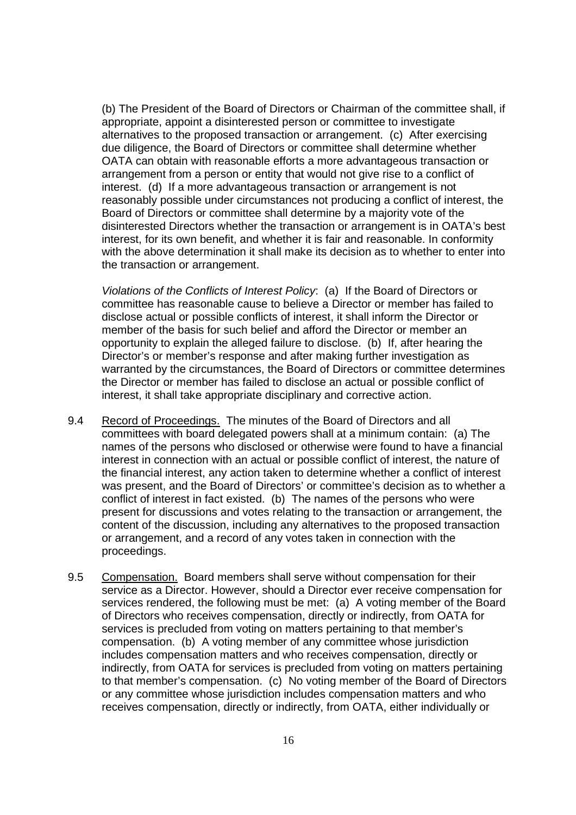(b) The President of the Board of Directors or Chairman of the committee shall, if appropriate, appoint a disinterested person or committee to investigate alternatives to the proposed transaction or arrangement. (c) After exercising due diligence, the Board of Directors or committee shall determine whether OATA can obtain with reasonable efforts a more advantageous transaction or arrangement from a person or entity that would not give rise to a conflict of interest. (d) If a more advantageous transaction or arrangement is not reasonably possible under circumstances not producing a conflict of interest, the Board of Directors or committee shall determine by a majority vote of the disinterested Directors whether the transaction or arrangement is in OATA's best interest, for its own benefit, and whether it is fair and reasonable. In conformity with the above determination it shall make its decision as to whether to enter into the transaction or arrangement.

Violations of the Conflicts of Interest Policy: (a) If the Board of Directors or committee has reasonable cause to believe a Director or member has failed to disclose actual or possible conflicts of interest, it shall inform the Director or member of the basis for such belief and afford the Director or member an opportunity to explain the alleged failure to disclose. (b) If, after hearing the Director's or member's response and after making further investigation as warranted by the circumstances, the Board of Directors or committee determines the Director or member has failed to disclose an actual or possible conflict of interest, it shall take appropriate disciplinary and corrective action.

- 9.4 Record of Proceedings. The minutes of the Board of Directors and all committees with board delegated powers shall at a minimum contain: (a) The names of the persons who disclosed or otherwise were found to have a financial interest in connection with an actual or possible conflict of interest, the nature of the financial interest, any action taken to determine whether a conflict of interest was present, and the Board of Directors' or committee's decision as to whether a conflict of interest in fact existed. (b) The names of the persons who were present for discussions and votes relating to the transaction or arrangement, the content of the discussion, including any alternatives to the proposed transaction or arrangement, and a record of any votes taken in connection with the proceedings.
- 9.5 Compensation. Board members shall serve without compensation for their service as a Director. However, should a Director ever receive compensation for services rendered, the following must be met: (a) A voting member of the Board of Directors who receives compensation, directly or indirectly, from OATA for services is precluded from voting on matters pertaining to that member's compensation. (b) A voting member of any committee whose jurisdiction includes compensation matters and who receives compensation, directly or indirectly, from OATA for services is precluded from voting on matters pertaining to that member's compensation. (c) No voting member of the Board of Directors or any committee whose jurisdiction includes compensation matters and who receives compensation, directly or indirectly, from OATA, either individually or